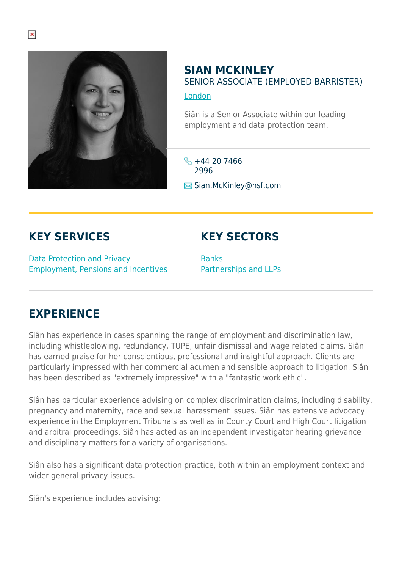

## **SIAN MCKINLEY** SENIOR ASSOCIATE (EMPLOYED BARRISTER) [London](https://www.herbertsmithfreehills.com/where-we-work/london)

Siân is a Senior Associate within our leading employment and data protection team.

 $\frac{1}{2}$  +44 20 7466 2996  $\boxtimes$  **Sian.McKinley**@hsf.com

## **KEY SERVICES**

Data Protection and Privacy Employment, Pensions and Incentives

## **KEY SECTORS**

**Banks** Partnerships and LLPs

## **EXPERIENCE**

Siân has experience in cases spanning the range of employment and discrimination law, including whistleblowing, redundancy, TUPE, unfair dismissal and wage related claims. Siân has earned praise for her conscientious, professional and insightful approach. Clients are particularly impressed with her commercial acumen and sensible approach to litigation. Siân has been described as "extremely impressive" with a "fantastic work ethic".

Siân has particular experience advising on complex discrimination claims, including disability, pregnancy and maternity, race and sexual harassment issues. Siân has extensive advocacy experience in the Employment Tribunals as well as in County Court and High Court litigation and arbitral proceedings. Siân has acted as an independent investigator hearing grievance and disciplinary matters for a variety of organisations.

Siân also has a significant data protection practice, both within an employment context and wider general privacy issues.

Siân's experience includes advising: